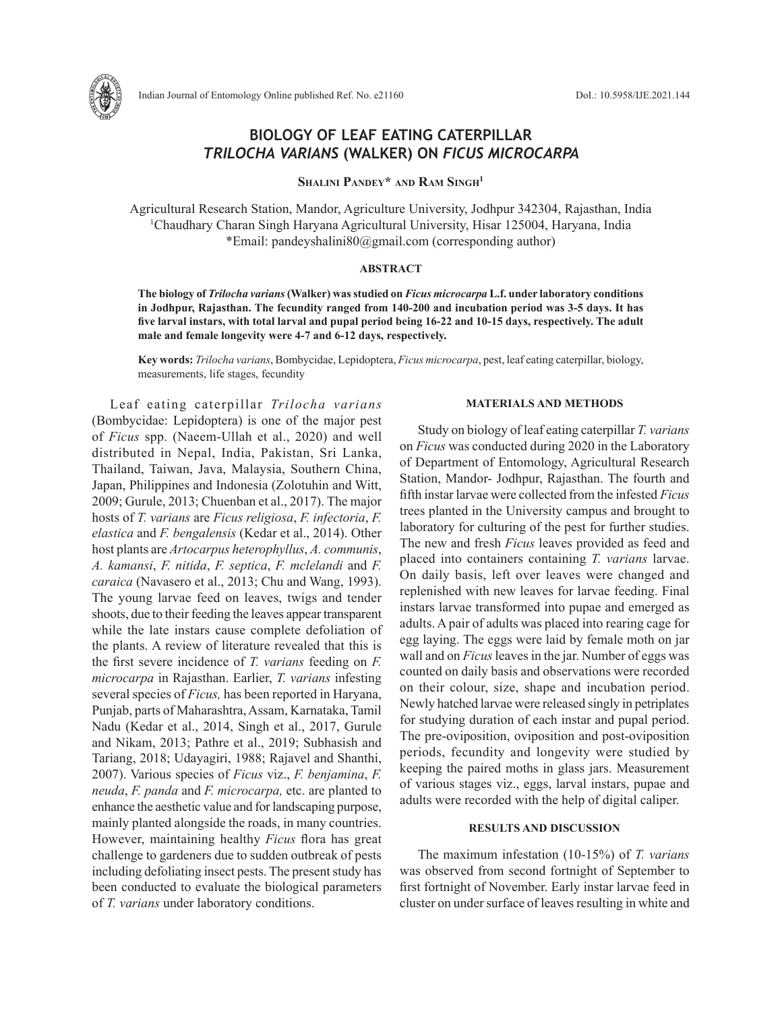

# **BIOLOGY OF LEAF EATING CATERPILLAR**  *TRILOCHA VARIANS* **(WALKER) ON** *FICUS MICROCARPA*

**Shalini Pandey\* and Ram Singh1** 

Agricultural Research Station, Mandor, Agriculture University, Jodhpur 342304, Rajasthan, India 1 Chaudhary Charan Singh Haryana Agricultural University, Hisar 125004, Haryana, India \*Email: pandeyshalini80@gmail.com (corresponding author)

## **ABSTRACT**

**The biology of** *Trilocha varians* **(Walker) was studied on** *Ficus microcarpa* **L.f. under laboratory conditions in Jodhpur, Rajasthan. The fecundity ranged from 140-200 and incubation period was 3-5 days. It has five larval instars, with total larval and pupal period being 16-22 and 10-15 days, respectively. The adult male and female longevity were 4-7 and 6-12 days, respectively.** 

**Key words:** *Trilocha varians*, Bombycidae, Lepidoptera, *Ficus microcarpa*, pest, leaf eating caterpillar, biology, measurements, life stages, fecundity

Leaf eating caterpillar *Trilocha varians*  (Bombycidae: Lepidoptera) is one of the major pest of *Ficus* spp. (Naeem-Ullah et al., 2020) and well distributed in Nepal, India, Pakistan, Sri Lanka, Thailand, Taiwan, Java, Malaysia, Southern China, Japan, Philippines and Indonesia (Zolotuhin and Witt, 2009; Gurule, 2013; Chuenban et al., 2017). The major hosts of *T. varians* are *Ficus religiosa*, *F. infectoria*, *F. elastica* and *F. bengalensis* (Kedar et al., 2014). Other host plants are *Artocarpus heterophyllus*, *A. communis*, *A. kamansi*, *F. nitida*, *F. septica*, *F. mclelandi* and *F. caraica* (Navasero et al., 2013; Chu and Wang, 1993). The young larvae feed on leaves, twigs and tender shoots, due to their feeding the leaves appear transparent while the late instars cause complete defoliation of the plants. A review of literature revealed that this is the first severe incidence of *T. varians* feeding on *F. microcarpa* in Rajasthan. Earlier, *T. varians* infesting several species of *Ficus,* has been reported in Haryana, Punjab, parts of Maharashtra, Assam, Karnataka, Tamil Nadu (Kedar et al., 2014, Singh et al., 2017, Gurule and Nikam, 2013; Pathre et al., 2019; Subhasish and Tariang, 2018; Udayagiri, 1988; Rajavel and Shanthi, 2007). Various species of *Ficus* viz., *F. benjamina*, *F. neuda*, *F. panda* and *F. microcarpa,* etc. are planted to enhance the aesthetic value and for landscaping purpose, mainly planted alongside the roads, in many countries. However, maintaining healthy *Ficus* flora has great challenge to gardeners due to sudden outbreak of pests including defoliating insect pests. The present study has been conducted to evaluate the biological parameters of *T. varians* under laboratory conditions.

#### **MATERIALS AND METHODS**

Study on biology of leaf eating caterpillar *T. varians* on *Ficus* was conducted during 2020 in the Laboratory of Department of Entomology, Agricultural Research Station, Mandor- Jodhpur, Rajasthan. The fourth and fifth instar larvae were collected from the infested *Ficus* trees planted in the University campus and brought to laboratory for culturing of the pest for further studies. The new and fresh *Ficus* leaves provided as feed and placed into containers containing *T. varians* larvae. On daily basis, left over leaves were changed and replenished with new leaves for larvae feeding. Final instars larvae transformed into pupae and emerged as adults. A pair of adults was placed into rearing cage for egg laying. The eggs were laid by female moth on jar wall and on *Ficus* leaves in the jar. Number of eggs was counted on daily basis and observations were recorded on their colour, size, shape and incubation period. Newly hatched larvae were released singly in petriplates for studying duration of each instar and pupal period. The pre-oviposition, oviposition and post-oviposition periods, fecundity and longevity were studied by keeping the paired moths in glass jars. Measurement of various stages viz., eggs, larval instars, pupae and adults were recorded with the help of digital caliper.

# **RESULTS AND DISCUSSION**

The maximum infestation (10-15%) of *T. varians* was observed from second fortnight of September to first fortnight of November. Early instar larvae feed in cluster on under surface of leaves resulting in white and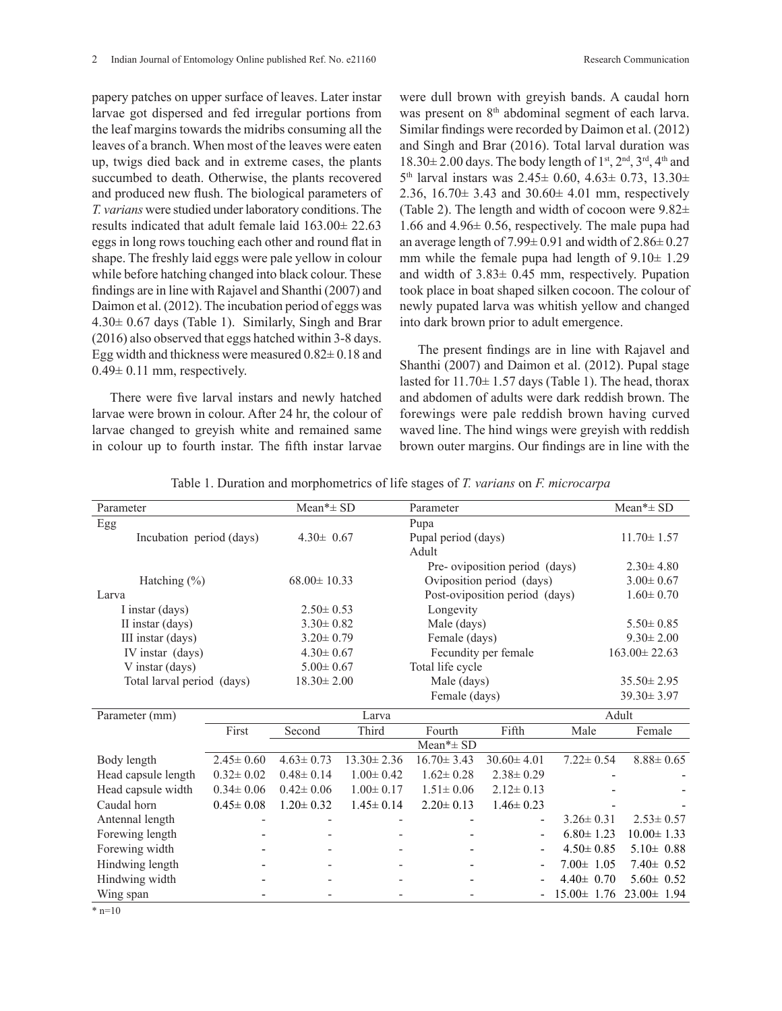papery patches on upper surface of leaves. Later instar larvae got dispersed and fed irregular portions from the leaf margins towards the midribs consuming all the leaves of a branch. When most of the leaves were eaten up, twigs died back and in extreme cases, the plants succumbed to death. Otherwise, the plants recovered and produced new flush. The biological parameters of *T. varians* were studied under laboratory conditions. The results indicated that adult female laid 163.00± 22.63 eggs in long rows touching each other and round flat in shape. The freshly laid eggs were pale yellow in colour while before hatching changed into black colour. These findings are in line with Rajavel and Shanthi (2007) and Daimon et al. (2012). The incubation period of eggs was  $4.30\pm 0.67$  days (Table 1). Similarly, Singh and Brar (2016) also observed that eggs hatched within 3-8 days. Egg width and thickness were measured  $0.82 \pm 0.18$  and  $0.49 \pm 0.11$  mm, respectively.

There were five larval instars and newly hatched larvae were brown in colour. After 24 hr, the colour of larvae changed to greyish white and remained same in colour up to fourth instar. The fifth instar larvae

were dull brown with greyish bands. A caudal horn was present on 8<sup>th</sup> abdominal segment of each larva. Similar findings were recorded by Daimon et al. (2012) and Singh and Brar (2016). Total larval duration was  $18.30\pm 2.00$  days. The body length of  $1<sup>st</sup>$ ,  $2<sup>nd</sup>$ ,  $3<sup>rd</sup>$ ,  $4<sup>th</sup>$  and  $5<sup>th</sup>$  larval instars was  $2.45 \pm 0.60$ ,  $4.63 \pm 0.73$ ,  $13.30 \pm 0.73$ 2.36,  $16.70 \pm 3.43$  and  $30.60 \pm 4.01$  mm, respectively (Table 2). The length and width of cocoon were 9.82± 1.66 and 4.96± 0.56, respectively. The male pupa had an average length of  $7.99 \pm 0.91$  and width of  $2.86 \pm 0.27$ mm while the female pupa had length of  $9.10 \pm 1.29$ and width of 3.83± 0.45 mm, respectively. Pupation took place in boat shaped silken cocoon. The colour of newly pupated larva was whitish yellow and changed into dark brown prior to adult emergence.

The present findings are in line with Rajavel and Shanthi (2007) and Daimon et al. (2012). Pupal stage lasted for  $11.70 \pm 1.57$  days (Table 1). The head, thorax and abdomen of adults were dark reddish brown. The forewings were pale reddish brown having curved waved line. The hind wings were greyish with reddish brown outer margins. Our findings are in line with the

|  | Table 1. Duration and morphometrics of life stages of T. varians on F. microcarpa |
|--|-----------------------------------------------------------------------------------|
|  |                                                                                   |

| Parameter                  |                 | $Mean* \pm SD$    |                                | Parameter                      |                               |                  | $Mean* \pm SD$     |  |
|----------------------------|-----------------|-------------------|--------------------------------|--------------------------------|-------------------------------|------------------|--------------------|--|
| Egg                        |                 |                   |                                | Pupa                           |                               |                  |                    |  |
| Incubation period (days)   |                 | $4.30 \pm 0.67$   |                                | Pupal period (days)            |                               |                  | $11.70 \pm 1.57$   |  |
|                            |                 |                   |                                | Adult                          |                               |                  |                    |  |
|                            |                 |                   |                                |                                | Pre-oviposition period (days) |                  | $2.30 \pm 4.80$    |  |
| Hatching $(\% )$           |                 | $68.00 \pm 10.33$ |                                | Oviposition period (days)      |                               |                  | $3.00 \pm 0.67$    |  |
| Larva                      |                 |                   |                                | Post-oviposition period (days) |                               |                  | $1.60 \pm 0.70$    |  |
| I instar (days)            |                 | $2.50 \pm 0.53$   |                                | Longevity                      |                               |                  |                    |  |
| II instar (days)           |                 |                   | $3.30 \pm 0.82$<br>Male (days) |                                | $5.50 \pm 0.85$               |                  |                    |  |
| III instar (days)          |                 | $3.20 \pm 0.79$   | Female (days)                  |                                | $9.30 \pm 2.00$               |                  |                    |  |
| IV instar (days)           |                 | $4.30 \pm 0.67$   |                                | Fecundity per female           |                               |                  | $163.00 \pm 22.63$ |  |
| V instar (days)            |                 | $5.00 \pm 0.67$   |                                | Total life cycle               |                               |                  |                    |  |
| Total larval period (days) |                 | $18.30 \pm 2.00$  |                                | Male (days)                    |                               |                  | $35.50 \pm 2.95$   |  |
|                            |                 |                   |                                | Female (days)                  |                               |                  | $39.30 \pm 3.97$   |  |
| Parameter (mm)             |                 | Larva             |                                |                                |                               |                  | Adult              |  |
|                            | First           | Second            | Third                          | Fourth                         | Fifth                         | Male             | Female             |  |
|                            |                 |                   |                                | Mean* $\pm$ SD                 |                               |                  |                    |  |
| Body length                | $2.45 \pm 0.60$ | $4.63 \pm 0.73$   | $\overline{13.30} \pm 2.36$    | $16.70 \pm 3.43$               | $30.60 \pm 4.01$              | $7.22 \pm 0.54$  | $8.88 \pm 0.65$    |  |
| Head capsule length        | $0.32 \pm 0.02$ | $0.48 \pm 0.14$   | $1.00 \pm 0.42$                | $1.62 \pm 0.28$                | $2.38 \pm 0.29$               |                  |                    |  |
| Head capsule width         | $0.34 \pm 0.06$ | $0.42 \pm 0.06$   | $1.00 \pm 0.17$                | $1.51 \pm 0.06$                | $2.12 \pm 0.13$               |                  |                    |  |
| Caudal horn                | $0.45 \pm 0.08$ | $1.20 \pm 0.32$   | $1.45 \pm 0.14$                | $2.20 \pm 0.13$                | $1.46 \pm 0.23$               |                  |                    |  |
| Antennal length            |                 |                   |                                |                                | $\overline{\phantom{a}}$      | $3.26 \pm 0.31$  | $2.53 \pm 0.57$    |  |
| Forewing length            |                 |                   |                                |                                | $\overline{\phantom{a}}$      | $6.80 \pm 1.23$  | $10.00 \pm 1.33$   |  |
| Forewing width             |                 |                   |                                |                                | $\overline{\phantom{a}}$      | $4.50 \pm 0.85$  | $5.10 \pm 0.88$    |  |
| Hindwing length            |                 |                   |                                |                                | $\overline{\phantom{a}}$      | $7.00 \pm 1.05$  | $7.40 \pm 0.52$    |  |
| Hindwing width             |                 |                   |                                |                                |                               | $4.40 \pm 0.70$  | $5.60 \pm 0.52$    |  |
| Wing span                  |                 |                   |                                |                                |                               | $15.00 \pm 1.76$ | $23.00 \pm 1.94$   |  |

 $*$  n=10